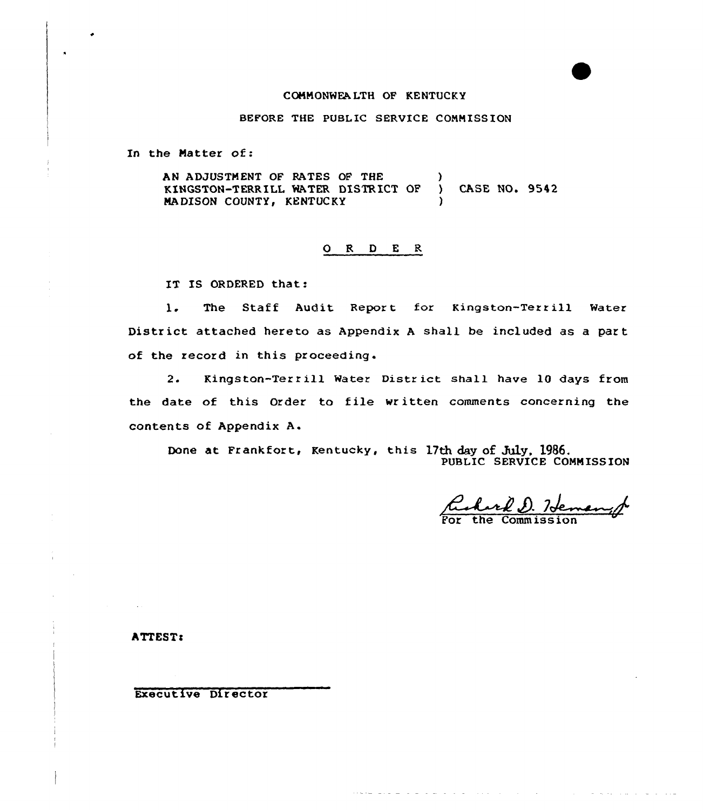## CQNNONWEA LTH QF KENTUCKY

BEFORE THE PUBLIC SERVICE CONNISS ION

In the Natter of:

AN ADJUSTMENT OF RATES OF THE KINGSTON-TERRILL MATER DISTRICT OP ) CASE NO. 9542 MA DISON COUNTY, KENTUCKY

## 0 R <sup>D</sup> E <sup>R</sup>

IT IS ORDERED that:

l. The Staff Audit Report for Kingston-Terrill Water District attached hereto as Appendix <sup>A</sup> shall be included as a part of the record in this proceeding.

2. Kingston-Terrill Water District shall have 10 days from the date of this Order to file written comments concerning the contents of Appendix A.

Done at Frankfort, Kentucky, this 17th day of July, 1986. PUBLIC SERVICE COMMISSIO

الوارد الواريد الواري المراج ومواضعته

Richard D. Hemany

 $\sim 10^{11}$  m  $^{-1}$ 

and a state of the

**ATTEST:** 

Executive Director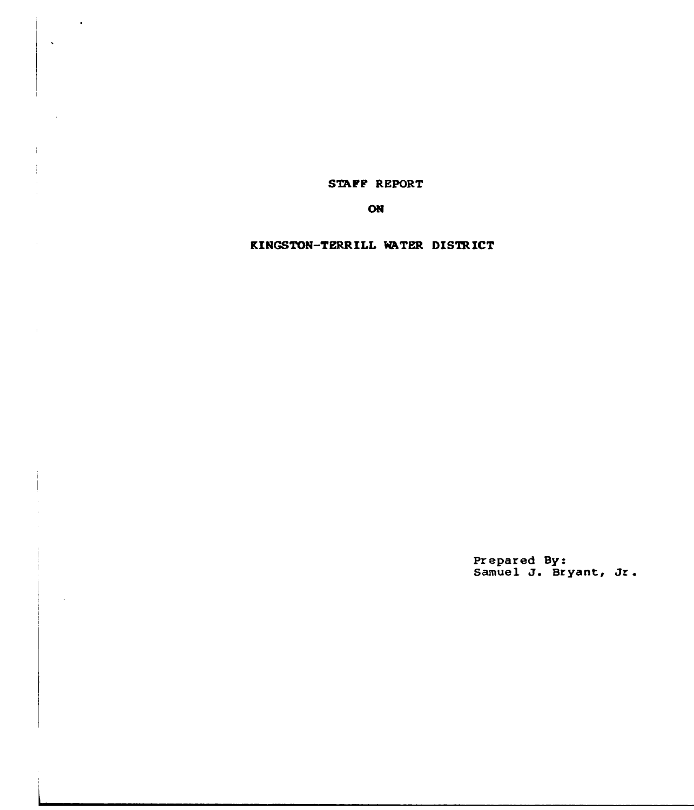STAFF REPORT

 $\ddot{\phantom{1}}$ 

ON

KINGSTON-TERRILL WATER DISTRICT

Prepared By:<br>Samuel J. Bryant, Jr.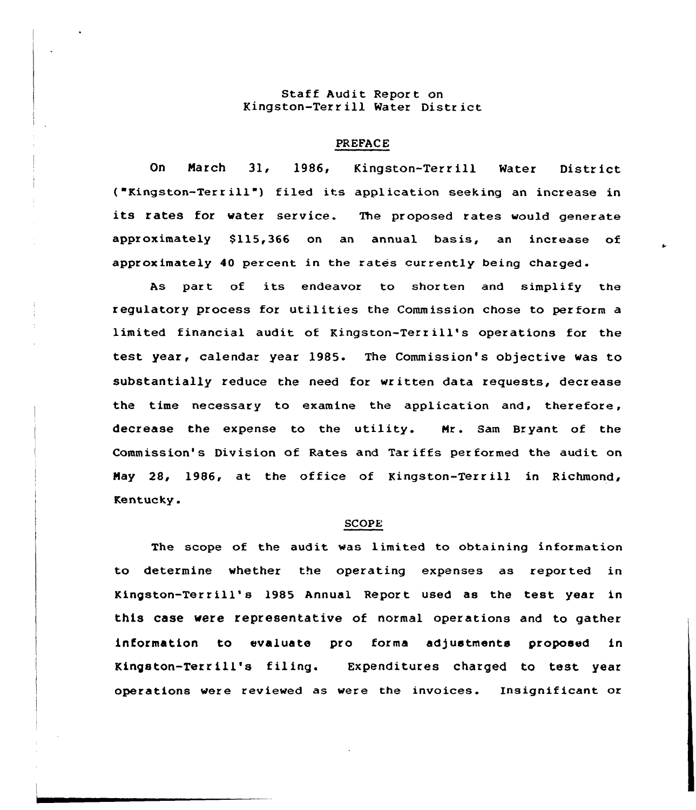# Staff Audit Report on Kingston-Terr ill Water District

### PREFACE

On Narch 31, 1986, Kingston-Terrill Water District ( "Kingston-Terr ill") filed its application seeking an increase in its rates for water service. The proposed rates would generate approximately \$115,366 on an annual basis, an increase of approximately 40 percent in the rates currently being charged.

As part of its endeavor to shorten and simplify the regulatory process for utilities the Commission chose to perform a limited financial audit of Kingston-Terr ill's operations for the test year, calendar year 1985. The Commission's objective was to substantially reduce the need for written data requests, decrease the time necessary to examine the application and, therefore, decrease the expense to the utility. Nr. Sam Bryant of the Commission's Division of Rates and Tariffs performed the audit on Nay 28, 1986, at the office of Kingston-Terr ill in Richmond, Kentucky.

#### SCOPE

The scope of the audit was limited to obtaining information to determine whether the operating expenses as reported in Kingston-Terrill's 1985 Annual Report used as the test year in this case were representative of normal operations and to gather information to evaluate pro forma adjustmente proposed in Kingston-Terrill's filing. Expenditures charged to test year operations were reviewed as were the invoices. Insignificant or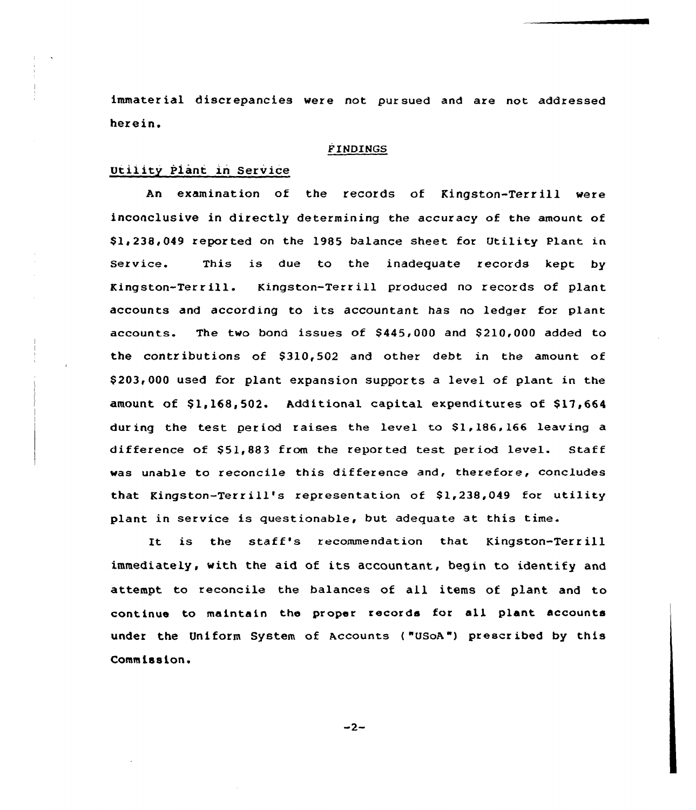immater ial discrepancies were not pursued and are not addressed herein.

# FINDINGS

# Utility Plant in Service

An examination of the records of Kingston-Terrill were inconclusive in directly determining the accuracy of the amount of Sli238,049 reported on the 1985 balance sheet for Utility Plant in Service. This is due to the inadequate records kept by Kingston-Terrill. Kingston-Terrill produced no records of plant accounts and according to its accountant has no ledger for plant accounts. The two bond issues of  $$445,000$  and  $$210,000$  added to the contributions of \$310,502 and other debt in the amount of \$ 203,000 used for plant expansion supports a level of plant in the amount of  $$1.168.502$ . Additional capital expenditures of  $$17.664$ during the test period raises the level to \$1,186,166 leaving a difference of \$51,883 from the reported test period level. Staff was unable to reconcile this difference and, therefore, concludes that Kingston-Terrill's representation of  $$1,238,049$  for utility plant in service is questionable, but adequate at this time.

It is the staff's recommendation that Kingston-Terrill immediately, with the aid of its accountant, begin to identify and attempt. to reconcile the balances of all items of plant and to continue to maintain the proper records for all plant accounts under the Uniform System of Accounts ("USoA") prescribed by this Commission.

 $-2-$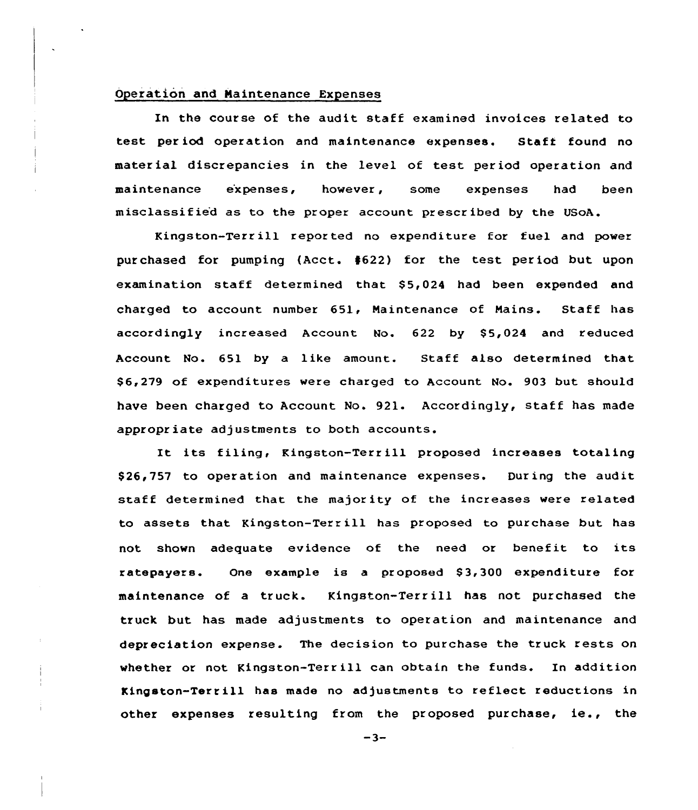## Operation and Naintenance Expenses

In the course of the audit staff examined invoices related to test period operation and maintenance expenses. Staft found no material discrepancies in the level of test. period operation and maintenance e'xpenses, however, some expenses had been misclassified as to the proper account prescribed by the USoA.

Kingston-Terrill reported no expenditure for fuel and power purchased for pumping {Acct. 4622) for the test period but upon examination staff determined that \$5,024 had been expended and charged to account number 651, Maintenance of Mains. Staff has accordingly increased Account No. 622 by \$5,024 and reduced Account No. 651 by a like amount. Staff also determined that \$ 6,279 of expenditures were charged to Account No. 903 but should have been charged to Account No. 921. Accordingly, staff has made appropriate adjustments to both accounts.

It its filing, Kingston-Terr ill proposed increases totaling \$ 26,757 to operation and maintenance expenses. Dur ing the audit staff determined that the majority of the increases were related to assets that Kingston-Terr ill has proposed to purchase but has not shown adequate evidence of the need or benefit to its ratepayers. One example is a proposed \$3,300 expenditure for maintenance of a truck. Kingston-Terrill has not purchased the truck but has made adjustments to operation and maintenance and depreciation expense. The decision to purchase the truck rests on whether or not Kingston-Terrill can obtain the funds. In addition Kingston-Terrill has made no adjustments to reflect reductions in other expenses resulting from the proposed purchase, ie., the

 $-3-$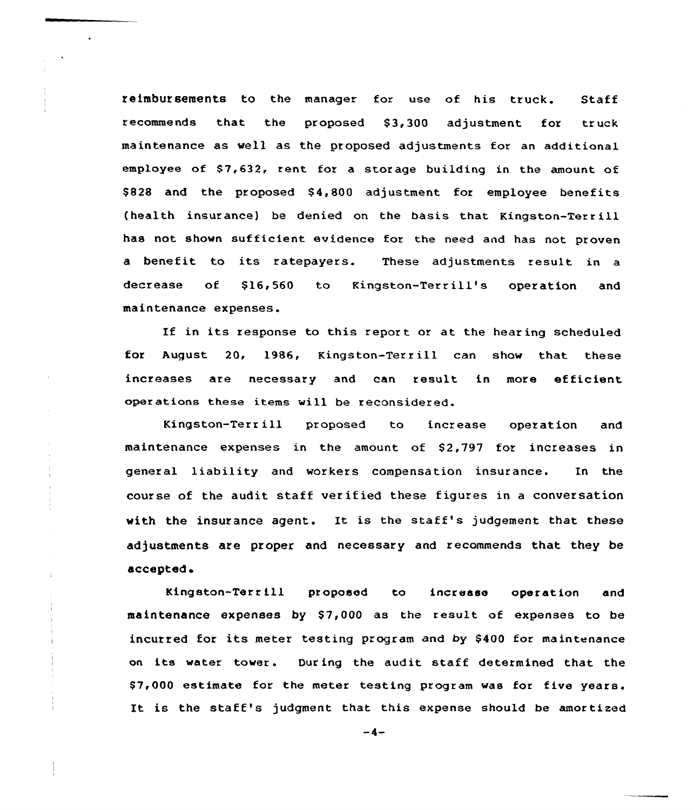reimbursements to the manager for use of his truck. Staff recommends that the proposed \$3,300 adjustment for truck maintenance as well as the proposed adjustments for an additional employee of \$7,632, rent for a storage building in the amount of \$828 and the proposed \$4,800 adjustment for employee benefits (health insurance) be denied on the basis that Kingston-Terrill has not shown sufficient evidence for the need and has not proven a benefit to its ratepayers. These adjustments result in a decrease of \$16,560 to Kingston-Terrill's operation and maintenance expenses.

If in its response to this report or at the hearing scheduled for August 20, 1986, Kingston-Terrill can show that these increases are necessary and can result in more efficient operations these items will be reconsidered.

Kingston-Terr ill proposed to increase operation and maintenance expenses in the amount of \$2,797 for increases in general liability and workers compensation insurance. In the course of the audit staff verified these figures in a conversation with the insurance agent. It is the staff's judgement that these adjustments are proper and necessary and recommends that they be accepted

Kingston-Tert ill proposed to increase operation and maintenance expenses by \$7,000 as the result of expenses to be incurred for its meter testing program and by \$400 for maintenance on its water tower. During the audit staff determined that, the \$ 7,000 estimate for the meter testing program was for five years. It is the staff' judgment that this expense should be amortized

 $-4-$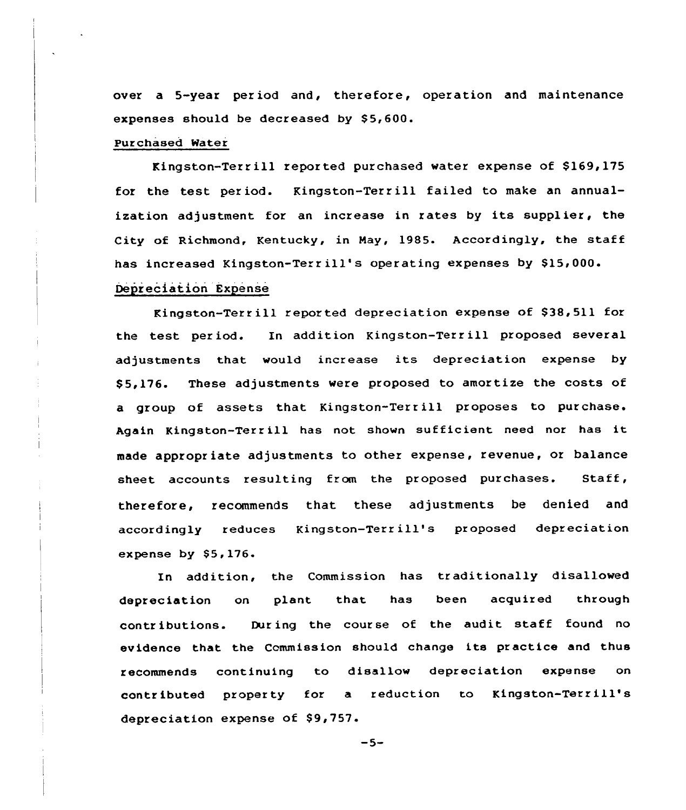over a 5-year per iod and, therefore, operation and maintenance expenses should be decreased by  $$5,600$ .

### Purchased Water

Kingston-Terrill reported purchased water expense of \$169,175 for the test period. Kingston-Terrill failed to make an annualization adjustment for an increase in rates by its supplier, the City of Richmond, Kentucky, in May, 1985. Accordingly, the staff has increased Kingston-Terrill's operating expenses by \$15,000.

# Depreciation Expense

Kingston-Terrill reported depreciation expense of \$38,511 for the test period. In addition Kingston-Terr ill proposed several adjustments that would increase its depreciation expense by \$ 5,176. These adjustments were proposed to amortize the costs of a group of assets that Kingston-Terrill proposes to purchase. Again Kingston-Terrill has not shown sufficient need nor has it made appropriate adjustments to other expense, revenue, or balance sheet accounts resulting from the proposed purchases. Staff, therefore, recommends that these adjustments be denied and accordingly reduces Kingston-Terr ill's proposed depreciation expense by  $$5,176.$ 

In addition, the Commission has traditionally disallowed depreciation on plant that has been acquired through contributions. During the course of the audit staff found no evidence that the Ccmmission should change its practice and thus recommends continuing to disallow depreciation expense on contributed property for a reduction to Kingston-Terrill's depreciation expense of \$9,757.

 $-5-$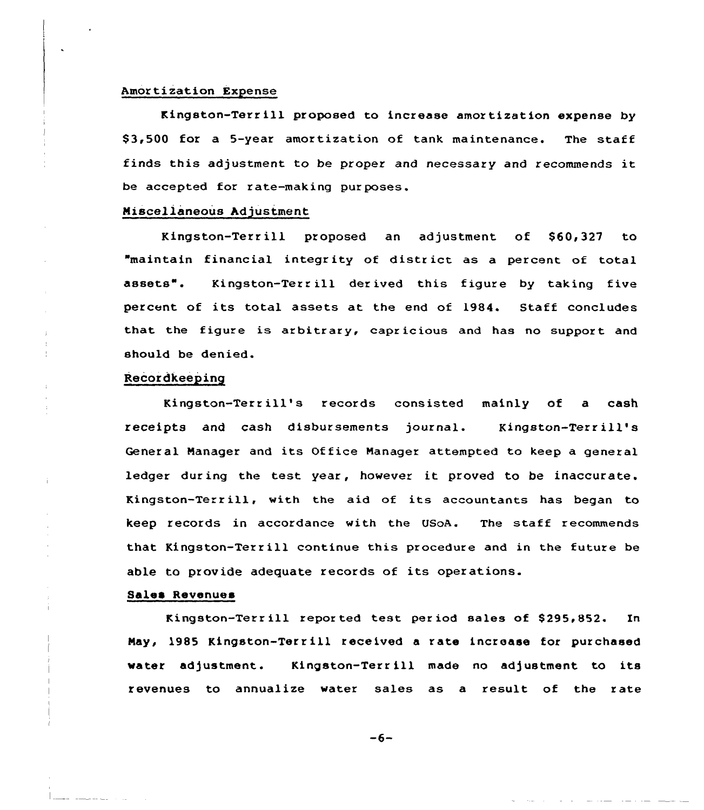#### Amortization Expense

Kingston-Terrill proposed to increase amortization expense by \$3,500 for a 5-year amortization of tank maintenance. The staff finds this adjustment to be proper and necessary and recommends it be accepted for rate-making purposes.

### Miscellaneous Adjustment

Kingston-Terrill proposed an adjustment of \$60,327 to "maintain financial integrity of district as a percent of total assets". Kingston-Terr ill derived this figure by taking five percent of its total assets at the end of 1984. Staff concludes that the figure is azbitrary, capricious and has no support and should be denied.

## Recordkeeping

Kingston-Terr ill's records consisted mainly of <sup>a</sup> cash receipts and cash disbursements journal. Kingston-Terrill's General Manager and its Office Manager attempted to keep a general ledger during the test year, however it proved to be inaccurate. Kingston-Terr ill, with the aid of its accountants has began to keep records in accordance with the USoA. The staff recommends that Kingston-Terrill continue this procedure and in the future be able to provide adequate records of its operations.

### Sales Revenues

Kingston-Terrill reported test period sales of \$295.852. In Nay, 1985 Kingston-Terr ill received <sup>a</sup> rate increase for purchased water adjustment. Kingston-Terr ill made no adjustment to its revenues to annualize water sales as a result of the rate

 $-6-$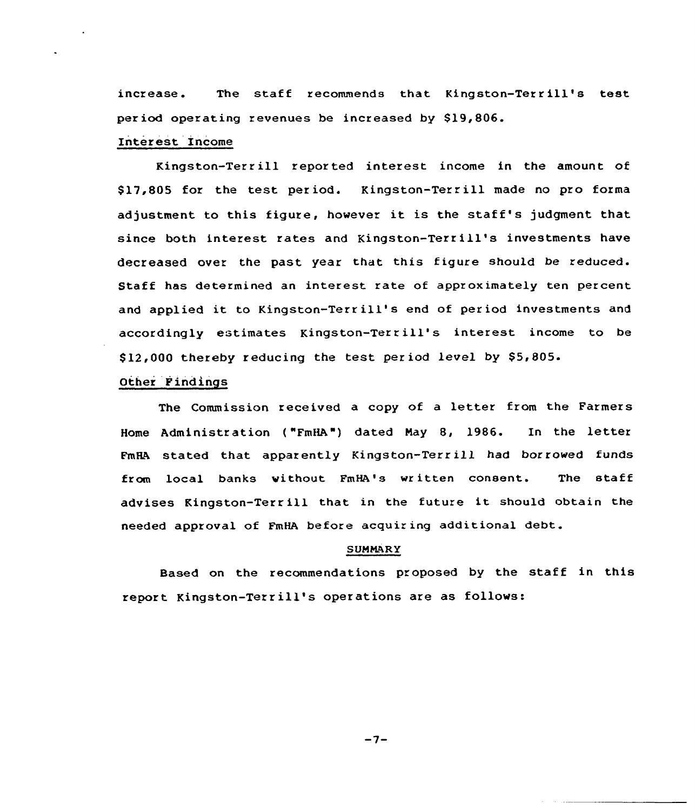increase. The staff recommends that Kingston-Terrill's test period operating revenues be increased by \$19,806.

## Interest Income

Kingston-Terrill reported interest income in the amount of S17,805 for the test period. Kingston-Terr ill made no pro foxma adjustment to this figure, however it is the staff's judgment that since both interest rates and Kingston-Terrill's investments have decreased over the past year that this figure should be reduced. Staff has determined an interest rate of approximately ten percent and applied it to Kingston-Terrill's end of period investments and accordingly estimates Kingston-Terr ill's interest income to be S12,000 thereby reducing the test. period level by \$5,805.

# Othex Findings

The Commission received <sup>a</sup> copy of <sup>a</sup> letter from the Farmers Home Administration ("FmHA") dated Nay 8, 1986. In the letter FmHA stated that apparently Kingston-Terr ill had borrowed funds from local banks vithout FmHa's written consent. The staff advises Kingston-Terr ill that in the future it should obtain the needed approval of FmHA before acquiring additional debt.

### **SUMMARY**

Based on the recommendations proposed by the staff in this report Kingston-Terr ill's operations are as follows:

 $-7-$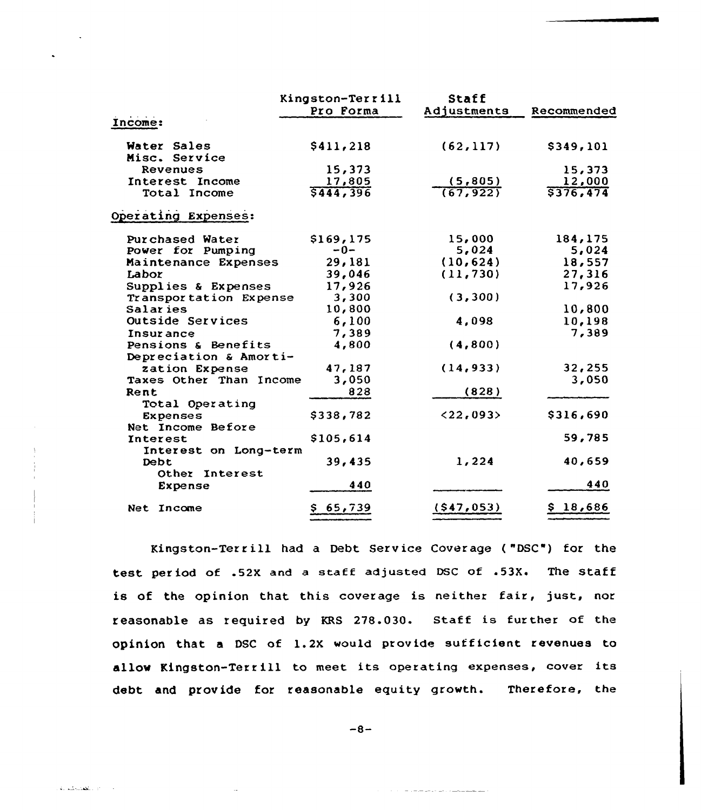|                                 | Kingston-Terrill    | Staff                |                     |
|---------------------------------|---------------------|----------------------|---------------------|
|                                 | Pro Forma           | Adjustments          | Recommended         |
| Income:                         |                     |                      |                     |
| Water Sales                     | \$411,218           | (62, 117)            | \$349,101           |
| Misc. Service                   |                     |                      |                     |
| Revenues                        | 15,373              |                      | 15,373              |
| Interest Income<br>Total Income | 17,805<br>\$444,396 | (5,805)<br>(67, 922) | 12,000<br>\$376,474 |
| Operating Expenses:             |                     |                      |                     |
| Purchased Water                 | \$169, 175          | 15,000               | 184,175             |
| Power for Pumping               | $-0-$               | 5,024                | 5,024               |
| Maintenance Expenses            | 29,181              | (10, 624)            | 18,557              |
| Labor                           | 39,046              | (11, 730)            | 27,316              |
| Supplies & Expenses             | 17,926              |                      | 17,926              |
| Transportation Expense          | 3,300               | (3, 300)             |                     |
| Salaries                        | 10,800              |                      | 10,800              |
| <b>Outside Services</b>         | 6,100               | 4,098                | 10,198              |
| <b>Insurance</b>                | 7,389               |                      | 7,389               |
| Pensions & Benefits             | 4,800               | (4,800)              |                     |
| Depreciation & Amorti-          |                     |                      |                     |
| zation Expense                  | 47,187              | (14, 933)            | 32,255              |
| Taxes Other Than Income         | 3,050               |                      | 3,050               |
| Rent                            | 828                 | (828)                |                     |
| Total Operating                 |                     |                      |                     |
| <b>Expenses</b>                 | \$338,782           | $<$ 22,093>          | \$316,690           |
| Net Income Before               |                     |                      |                     |
| <b>Interest</b>                 | \$105,614           |                      | 59,785              |
| Interest on Long-term           |                     |                      |                     |
| Debt                            | 39,435              | 1,224                | 40,659              |
| Other Interest                  |                     |                      |                     |
| <b>Expense</b>                  | 440                 |                      | 440                 |
| Net Income                      | \$65,739            | (547, 053)           | \$18,686            |

Kingston-Terrill had a Debt Service Coverage ("DSC") for the test period of .52X and a staff adjusted DSC of .53X. The staff is of the opinion that this coverage is neither fair, just, nor reasonable as required by KRS 278.030. Staff is further of the opinion that a DSC of 1.2X would provide sufficient revenues to allow Kingston-Terrill to meet its operating expenses, cover its debt and provide for reasonable equity growth. Therefore, the

 $-8-$ 

the company of the company

al advisado en 195